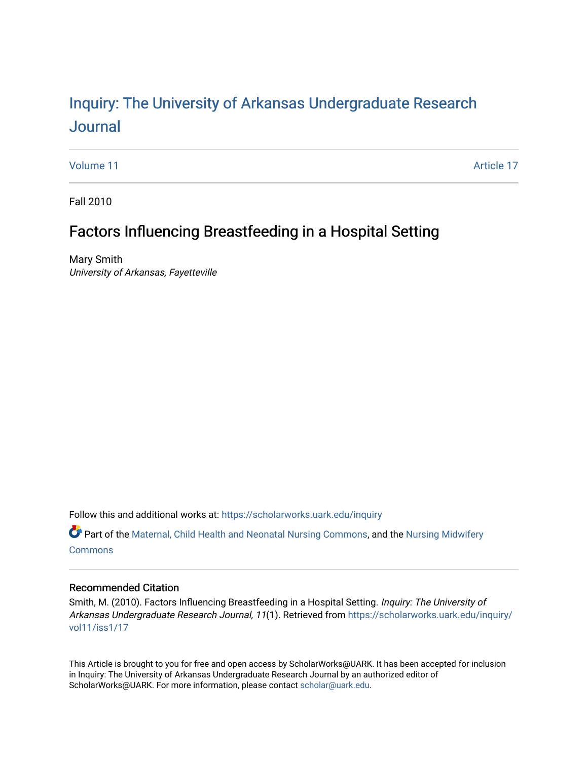# Inquiry: The Univ[ersity of Arkansas Undergraduate Resear](https://scholarworks.uark.edu/inquiry)ch [Journal](https://scholarworks.uark.edu/inquiry)

[Volume 11](https://scholarworks.uark.edu/inquiry/vol11) Article 17

Fall 2010

## Factors Influencing Breastfeeding in a Hospital Setting

Mary Smith University of Arkansas, Fayetteville

Follow this and additional works at: [https://scholarworks.uark.edu/inquiry](https://scholarworks.uark.edu/inquiry?utm_source=scholarworks.uark.edu%2Finquiry%2Fvol11%2Fiss1%2F17&utm_medium=PDF&utm_campaign=PDFCoverPages)

Part of the [Maternal, Child Health and Neonatal Nursing Commons,](http://network.bepress.com/hgg/discipline/721?utm_source=scholarworks.uark.edu%2Finquiry%2Fvol11%2Fiss1%2F17&utm_medium=PDF&utm_campaign=PDFCoverPages) and the [Nursing Midwifery](http://network.bepress.com/hgg/discipline/722?utm_source=scholarworks.uark.edu%2Finquiry%2Fvol11%2Fiss1%2F17&utm_medium=PDF&utm_campaign=PDFCoverPages)  **[Commons](http://network.bepress.com/hgg/discipline/722?utm_source=scholarworks.uark.edu%2Finquiry%2Fvol11%2Fiss1%2F17&utm_medium=PDF&utm_campaign=PDFCoverPages)** 

## Recommended Citation

Smith, M. (2010). Factors Influencing Breastfeeding in a Hospital Setting. Inquiry: The University of Arkansas Undergraduate Research Journal, 11(1). Retrieved from [https://scholarworks.uark.edu/inquiry/](https://scholarworks.uark.edu/inquiry/vol11/iss1/17?utm_source=scholarworks.uark.edu%2Finquiry%2Fvol11%2Fiss1%2F17&utm_medium=PDF&utm_campaign=PDFCoverPages) [vol11/iss1/17](https://scholarworks.uark.edu/inquiry/vol11/iss1/17?utm_source=scholarworks.uark.edu%2Finquiry%2Fvol11%2Fiss1%2F17&utm_medium=PDF&utm_campaign=PDFCoverPages) 

This Article is brought to you for free and open access by ScholarWorks@UARK. It has been accepted for inclusion in Inquiry: The University of Arkansas Undergraduate Research Journal by an authorized editor of ScholarWorks@UARK. For more information, please contact [scholar@uark.edu](mailto:scholar@uark.edu).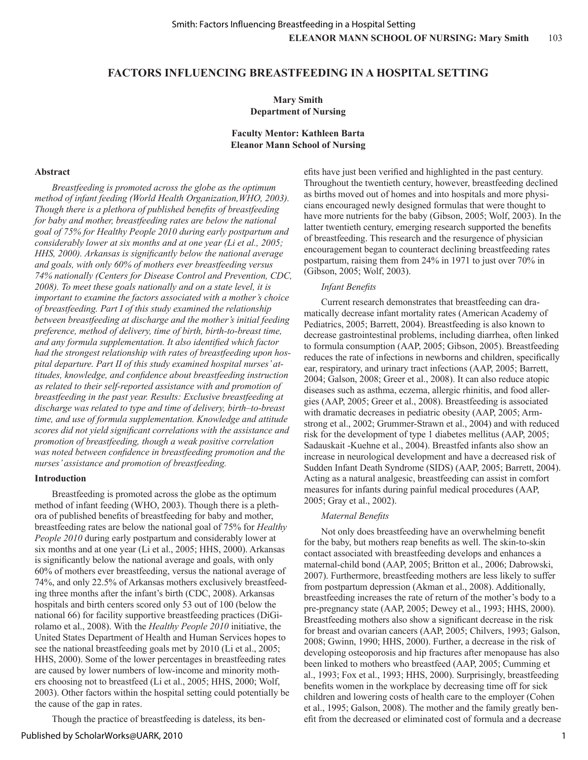## **FACTORS INFLUENCING BREASTFEEDING IN A HOSPITAL SETTING**

## **Mary Smith Department of Nursing**

#### **Faculty Mentor: Kathleen Barta Eleanor Mann School of Nursing**

#### **Abstract**

*Breastfeeding is promoted across the globe as the optimum method of infant feeding (World Health Organization,WHO, 2003). Though there is a plethora of published benefits of breastfeeding for baby and mother, breastfeeding rates are below the national goal of 75% for Healthy People 2010 during early postpartum and considerably lower at six months and at one year (Li et al., 2005; HHS, 2000). Arkansas is significantly below the national average and goals, with only 60% of mothers ever breastfeeding versus 74% nationally (Centers for Disease Control and Prevention, CDC, 2008). To meet these goals nationally and on a state level, it is important to examine the factors associated with a mother's choice of breastfeeding. Part I of this study examined the relationship between breastfeeding at discharge and the mother's initial feeding preference, method of delivery, time of birth, birth-to-breast time, and any formula supplementation. It also identified which factor had the strongest relationship with rates of breastfeeding upon hospital departure. Part II of this study examined hospital nurses' attitudes, knowledge, and confidence about breastfeeding instruction as related to their self-reported assistance with and promotion of breastfeeding in the past year. Results: Exclusive breastfeeding at discharge was related to type and time of delivery, birth–to-breast time, and use of formula supplementation. Knowledge and attitude scores did not yield significant correlations with the assistance and promotion of breastfeeding, though a weak positive correlation was noted between confidence in breastfeeding promotion and the nurses' assistance and promotion of breastfeeding.*

#### **Introduction**

Breastfeeding is promoted across the globe as the optimum method of infant feeding (WHO, 2003). Though there is a plethora of published benefits of breastfeeding for baby and mother, breastfeeding rates are below the national goal of 75% for *Healthy People 2010* during early postpartum and considerably lower at six months and at one year (Li et al., 2005; HHS, 2000). Arkansas is significantly below the national average and goals, with only 60% of mothers ever breastfeeding, versus the national average of 74%, and only 22.5% of Arkansas mothers exclusively breastfeeding three months after the infant's birth (CDC, 2008). Arkansas hospitals and birth centers scored only 53 out of 100 (below the national 66) for facility supportive breastfeeding practices (DiGirolamo et al., 2008). With the *Healthy People 2010* initiative, the United States Department of Health and Human Services hopes to see the national breastfeeding goals met by 2010 (Li et al., 2005; HHS, 2000). Some of the lower percentages in breastfeeding rates are caused by lower numbers of low-income and minority mothers choosing not to breastfeed (Li et al., 2005; HHS, 2000; Wolf, 2003). Other factors within the hospital setting could potentially be the cause of the gap in rates.

Though the practice of breastfeeding is dateless, its ben-

Published by ScholarWorks@UARK, 2010

efits have just been verified and highlighted in the past century. Throughout the twentieth century, however, breastfeeding declined as births moved out of homes and into hospitals and more physicians encouraged newly designed formulas that were thought to have more nutrients for the baby (Gibson, 2005; Wolf, 2003). In the latter twentieth century, emerging research supported the benefits of breastfeeding. This research and the resurgence of physician encouragement began to counteract declining breastfeeding rates postpartum, raising them from 24% in 1971 to just over 70% in (Gibson, 2005; Wolf, 2003).

#### *Infant Benefits*

Current research demonstrates that breastfeeding can dramatically decrease infant mortality rates (American Academy of Pediatrics, 2005; Barrett, 2004). Breastfeeding is also known to decrease gastrointestinal problems, including diarrhea, often linked to formula consumption (AAP, 2005; Gibson, 2005). Breastfeeding reduces the rate of infections in newborns and children, specifically ear, respiratory, and urinary tract infections (AAP, 2005; Barrett, 2004; Galson, 2008; Greer et al., 2008). It can also reduce atopic diseases such as asthma, eczema, allergic rhinitis, and food allergies (AAP, 2005; Greer et al., 2008). Breastfeeding is associated with dramatic decreases in pediatric obesity (AAP, 2005; Armstrong et al., 2002; Grummer-Strawn et al., 2004) and with reduced risk for the development of type 1 diabetes mellitus (AAP, 2005; Sadauskait -Kuehne et al., 2004). Breastfed infants also show an increase in neurological development and have a decreased risk of Sudden Infant Death Syndrome (SIDS) (AAP, 2005; Barrett, 2004). Acting as a natural analgesic, breastfeeding can assist in comfort measures for infants during painful medical procedures (AAP, 2005; Gray et al., 2002).

#### *Maternal Benefits*

Not only does breastfeeding have an overwhelming benefit for the baby, but mothers reap benefits as well. The skin-to-skin contact associated with breastfeeding develops and enhances a maternal-child bond (AAP, 2005; Britton et al., 2006; Dabrowski, 2007). Furthermore, breastfeeding mothers are less likely to suffer from postpartum depression (Akman et al., 2008). Additionally, breastfeeding increases the rate of return of the mother's body to a pre-pregnancy state (AAP, 2005; Dewey et al., 1993; HHS, 2000). Breastfeeding mothers also show a significant decrease in the risk for breast and ovarian cancers (AAP, 2005; Chilvers, 1993; Galson, 2008; Gwinn, 1990; HHS, 2000). Further, a decrease in the risk of developing osteoporosis and hip fractures after menopause has also been linked to mothers who breastfeed (AAP, 2005; Cumming et al., 1993; Fox et al., 1993; HHS, 2000). Surprisingly, breastfeeding benefits women in the workplace by decreasing time off for sick children and lowering costs of health care to the employer (Cohen et al., 1995; Galson, 2008). The mother and the family greatly benefit from the decreased or eliminated cost of formula and a decrease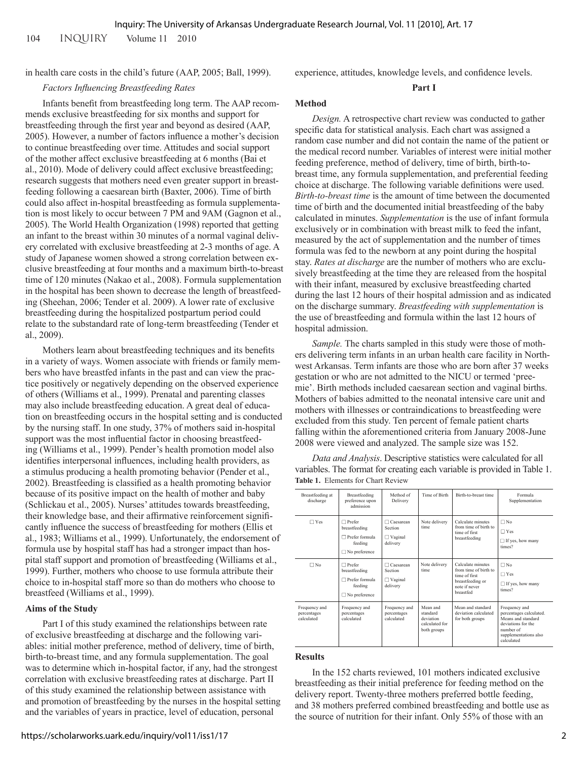in health care costs in the child's future (AAP, 2005; Ball, 1999).

#### *Factors Influencing Breastfeeding Rates*

Infants benefit from breastfeeding long term. The AAP recommends exclusive breastfeeding for six months and support for breastfeeding through the first year and beyond as desired (AAP, 2005). However, a number of factors influence a mother's decision to continue breastfeeding over time. Attitudes and social support of the mother affect exclusive breastfeeding at 6 months (Bai et al., 2010). Mode of delivery could affect exclusive breastfeeding; research suggests that mothers need even greater support in breastfeeding following a caesarean birth (Baxter, 2006). Time of birth could also affect in-hospital breastfeeding as formula supplementation is most likely to occur between 7 PM and 9AM (Gagnon et al., 2005). The World Health Organization (1998) reported that getting an infant to the breast within 30 minutes of a normal vaginal delivery correlated with exclusive breastfeeding at 2-3 months of age. A study of Japanese women showed a strong correlation between exclusive breastfeeding at four months and a maximum birth-to-breast time of 120 minutes (Nakao et al., 2008). Formula supplementation in the hospital has been shown to decrease the length of breastfeeding (Sheehan, 2006; Tender et al. 2009). A lower rate of exclusive breastfeeding during the hospitalized postpartum period could relate to the substandard rate of long-term breastfeeding (Tender et al., 2009).

Mothers learn about breastfeeding techniques and its benefits in a variety of ways. Women associate with friends or family members who have breastfed infants in the past and can view the practice positively or negatively depending on the observed experience of others (Williams et al., 1999). Prenatal and parenting classes may also include breastfeeding education. A great deal of education on breastfeeding occurs in the hospital setting and is conducted by the nursing staff. In one study, 37% of mothers said in-hospital support was the most influential factor in choosing breastfeeding (Williams et al., 1999). Pender's health promotion model also identifies interpersonal influences, including health providers, as a stimulus producing a health promoting behavior (Pender et al., 2002). Breastfeeding is classified as a health promoting behavior because of its positive impact on the health of mother and baby (Schlickau et al., 2005). Nurses' attitudes towards breastfeeding, their knowledge base, and their affirmative reinforcement significantly influence the success of breastfeeding for mothers (Ellis et al., 1983; Williams et al., 1999). Unfortunately, the endorsement of formula use by hospital staff has had a stronger impact than hospital staff support and promotion of breastfeeding (Williams et al., 1999). Further, mothers who choose to use formula attribute their choice to in-hospital staff more so than do mothers who choose to breastfeed (Williams et al., 1999).

#### **Aims of the Study**

Part I of this study examined the relationships between rate of exclusive breastfeeding at discharge and the following variables: initial mother preference, method of delivery, time of birth, birth-to-breast time, and any formula supplementation. The goal was to determine which in-hospital factor, if any, had the strongest correlation with exclusive breastfeeding rates at discharge. Part II of this study examined the relationship between assistance with and promotion of breastfeeding by the nurses in the hospital setting and the variables of years in practice, level of education, personal

experience, attitudes, knowledge levels, and confidence levels.

#### **Part I**

#### **Method**

*Design.* A retrospective chart review was conducted to gather specific data for statistical analysis. Each chart was assigned a random case number and did not contain the name of the patient or the medical record number. Variables of interest were initial mother feeding preference, method of delivery, time of birth, birth-tobreast time, any formula supplementation, and preferential feeding choice at discharge. The following variable definitions were used. *Birth-to-breast time* is the amount of time between the documented time of birth and the documented initial breastfeeding of the baby calculated in minutes. *Supplementation* is the use of infant formula exclusively or in combination with breast milk to feed the infant, measured by the act of supplementation and the number of times formula was fed to the newborn at any point during the hospital stay. *Rates at discharge* are the number of mothers who are exclusively breastfeeding at the time they are released from the hospital with their infant, measured by exclusive breastfeeding charted during the last 12 hours of their hospital admission and as indicated on the discharge summary. *Breastfeeding with supplementation* is the use of breastfeeding and formula within the last 12 hours of hospital admission.

*Sample.* The charts sampled in this study were those of mothers delivering term infants in an urban health care facility in Northwest Arkansas. Term infants are those who are born after 37 weeks gestation or who are not admitted to the NICU or termed 'preemie'. Birth methods included caesarean section and vaginal births. Mothers of babies admitted to the neonatal intensive care unit and mothers with illnesses or contraindications to breastfeeding were excluded from this study. Ten percent of female patient charts falling within the aforementioned criteria from January 2008-June 2008 were viewed and analyzed. The sample size was 152.

*Data and Analysis*. Descriptive statistics were calculated for all variables. The format for creating each variable is provided in Table 1. **Table 1.** Elements for Chart Review

| Breastfeeding at<br>discharge              | Breastfeeding<br>preference upon<br>admission                                            | Method of<br>Delivery                                     | Time of Birth                                                      | Birth-to-breast time                                                                                          | Formula<br>Supplementation                                                                                                               |
|--------------------------------------------|------------------------------------------------------------------------------------------|-----------------------------------------------------------|--------------------------------------------------------------------|---------------------------------------------------------------------------------------------------------------|------------------------------------------------------------------------------------------------------------------------------------------|
| $\Box$ Yes                                 | $\Box$ Prefer<br>breastfeeding<br>Prefer formula<br>п<br>feeding<br>$\Box$ No preference | Caesarean<br><b>Section</b><br>$\Box$ Vaginal<br>delivery | Note delivery<br>time                                              | Calculate minutes<br>from time of birth to<br>time of first<br>breastfeeding                                  | $\Box$ No<br>$\Box$ Yes<br>$\Box$ If yes, how many<br>times?                                                                             |
| $\Box$ No                                  | $\Box$ Prefer<br>breastfeeding<br>Prefer formula<br>п<br>feeding<br>$\Box$ No preference | Caesarean<br><b>Section</b><br>$\Box$ Vaginal<br>delivery | Note delivery<br>time                                              | Calculate minutes<br>from time of birth to<br>time of first<br>breastfeeding or<br>note if never<br>breastfed | $\Box$ No<br>$\Box$ Yes<br>$\Box$ If yes, how many<br>times?                                                                             |
| Frequency and<br>percentages<br>calculated | Frequency and<br>percentages<br>calculated                                               | Frequency and<br>percentages<br>calculated                | Mean and<br>standard<br>deviation<br>calculated for<br>both groups | Mean and standard<br>deviation calculated<br>for both groups                                                  | Frequency and<br>percentages calculated.<br>Means and standard<br>deviations for the<br>number of<br>supplementations also<br>calculated |

#### **Results**

In the 152 charts reviewed, 101 mothers indicated exclusive breastfeeding as their initial preference for feeding method on the delivery report. Twenty-three mothers preferred bottle feeding, and 38 mothers preferred combined breastfeeding and bottle use as the source of nutrition for their infant. Only 55% of those with an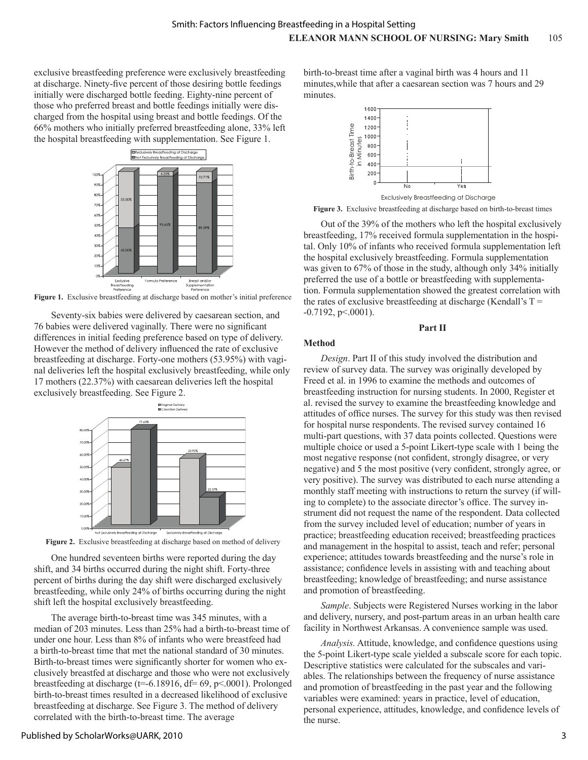exclusive breastfeeding preference were exclusively breastfeeding at discharge. Ninety-five percent of those desiring bottle feedings initially were discharged bottle feeding. Eighty-nine percent of those who preferred breast and bottle feedings initially were discharged from the hospital using breast and bottle feedings. Of the 66% mothers who initially preferred breastfeeding alone, 33% left the hospital breastfeeding with supplementation. See Figure 1.



**Figure 1.** Exclusive breastfeeding at discharge based on mother's initial preference

Seventy-six babies were delivered by caesarean section, and 76 babies were delivered vaginally. There were no significant differences in initial feeding preference based on type of delivery. However the method of delivery influenced the rate of exclusive breastfeeding at discharge. Forty-one mothers (53.95%) with vaginal deliveries left the hospital exclusively breastfeeding, while only 17 mothers (22.37%) with caesarean deliveries left the hospital exclusively breastfeeding. See Figure 2.



Figure 2. Exclusive breastfeeding at discharge based on method of delivery

One hundred seventeen births were reported during the day shift, and 34 births occurred during the night shift. Forty-three percent of births during the day shift were discharged exclusively breastfeeding, while only 24% of births occurring during the night shift left the hospital exclusively breastfeeding.

The average birth-to-breast time was 345 minutes, with a median of 203 minutes. Less than 25% had a birth-to-breast time of under one hour. Less than 8% of infants who were breastfeed had a birth-to-breast time that met the national standard of 30 minutes. Birth-to-breast times were significantly shorter for women who exclusively breastfed at discharge and those who were not exclusively breastfeeding at discharge ( $t=$  -6.18916,  $df=$  69,  $p$ <.0001). Prolonged birth-to-breast times resulted in a decreased likelihood of exclusive breastfeeding at discharge. See Figure 3. The method of delivery correlated with the birth-to-breast time. The average

birth-to-breast time after a vaginal birth was 4 hours and 11 minutes,while that after a caesarean section was 7 hours and 29 minutes.



**Figure 3.** Exclusive breastfeeding at discharge based on birth-to-breast times

Out of the 39% of the mothers who left the hospital exclusively breastfeeding, 17% received formula supplementation in the hospital. Only 10% of infants who received formula supplementation left the hospital exclusively breastfeeding. Formula supplementation was given to 67% of those in the study, although only 34% initially preferred the use of a bottle or breastfeeding with supplementation. Formula supplementation showed the greatest correlation with the rates of exclusive breastfeeding at discharge (Kendall's  $T =$  $-0.7192$ , p $\leq 0.001$ ).

**Part II**

#### **Method**

*Design*. Part II of this study involved the distribution and review of survey data. The survey was originally developed by Freed et al. in 1996 to examine the methods and outcomes of breastfeeding instruction for nursing students. In 2000, Register et al. revised the survey to examine the breastfeeding knowledge and attitudes of office nurses. The survey for this study was then revised for hospital nurse respondents. The revised survey contained 16 multi-part questions, with 37 data points collected. Questions were multiple choice or used a 5-point Likert-type scale with 1 being the most negative response (not confident, strongly disagree, or very negative) and 5 the most positive (very confident, strongly agree, or very positive). The survey was distributed to each nurse attending a monthly staff meeting with instructions to return the survey (if willing to complete) to the associate director's office. The survey instrument did not request the name of the respondent. Data collected from the survey included level of education; number of years in practice; breastfeeding education received; breastfeeding practices and management in the hospital to assist, teach and refer; personal experience; attitudes towards breastfeeding and the nurse's role in assistance; confidence levels in assisting with and teaching about breastfeeding; knowledge of breastfeeding; and nurse assistance and promotion of breastfeeding.

*Sample*. Subjects were Registered Nurses working in the labor and delivery, nursery, and post-partum areas in an urban health care facility in Northwest Arkansas. A convenience sample was used.

*Analysis.* Attitude, knowledge, and confidence questions using the 5-point Likert-type scale yielded a subscale score for each topic. Descriptive statistics were calculated for the subscales and variables. The relationships between the frequency of nurse assistance and promotion of breastfeeding in the past year and the following variables were examined: years in practice, level of education, personal experience, attitudes, knowledge, and confidence levels of the nurse.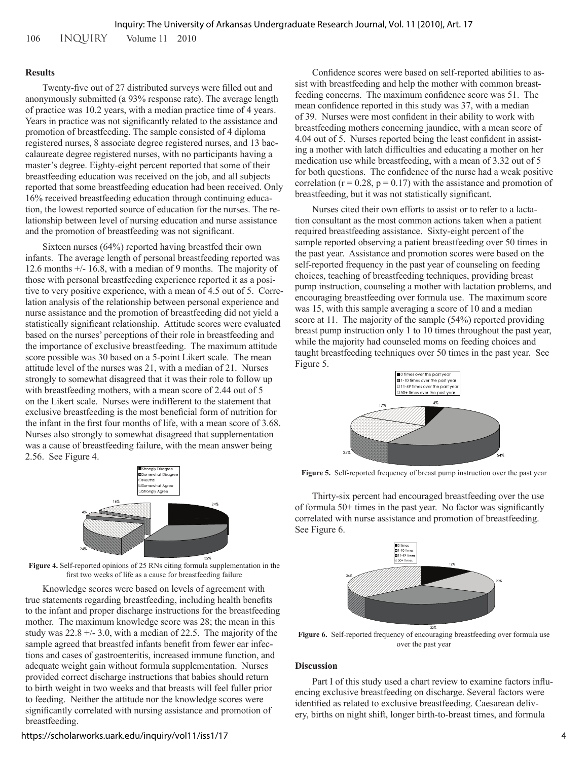106 INQUIRY Volume 11 2010

#### **Results**

Twenty-five out of 27 distributed surveys were filled out and anonymously submitted (a 93% response rate). The average length of practice was 10.2 years, with a median practice time of 4 years. Years in practice was not significantly related to the assistance and promotion of breastfeeding. The sample consisted of 4 diploma registered nurses, 8 associate degree registered nurses, and 13 baccalaureate degree registered nurses, with no participants having a master's degree. Eighty-eight percent reported that some of their breastfeeding education was received on the job, and all subjects reported that some breastfeeding education had been received. Only 16% received breastfeeding education through continuing education, the lowest reported source of education for the nurses. The relationship between level of nursing education and nurse assistance and the promotion of breastfeeding was not significant.

Sixteen nurses (64%) reported having breastfed their own infants. The average length of personal breastfeeding reported was 12.6 months +/- 16.8, with a median of 9 months. The majority of those with personal breastfeeding experience reported it as a positive to very positive experience, with a mean of 4.5 out of 5. Correlation analysis of the relationship between personal experience and nurse assistance and the promotion of breastfeeding did not yield a statistically significant relationship. Attitude scores were evaluated based on the nurses' perceptions of their role in breastfeeding and the importance of exclusive breastfeeding. The maximum attitude score possible was 30 based on a 5-point Likert scale. The mean attitude level of the nurses was 21, with a median of 21. Nurses strongly to somewhat disagreed that it was their role to follow up with breastfeeding mothers, with a mean score of 2.44 out of 5 on the Likert scale. Nurses were indifferent to the statement that exclusive breastfeeding is the most beneficial form of nutrition for the infant in the first four months of life, with a mean score of 3.68. Nurses also strongly to somewhat disagreed that supplementation was a cause of breastfeeding failure, with the mean answer being 2.56. See Figure 4.



**Figure 4.** Self-reported opinions of 25 RNs citing formula supplementation in the first two weeks of life as a cause for breastfeeding failure

Knowledge scores were based on levels of agreement with true statements regarding breastfeeding, including health benefits to the infant and proper discharge instructions for the breastfeeding mother. The maximum knowledge score was 28; the mean in this study was  $22.8 + (-3.0)$ , with a median of 22.5. The majority of the sample agreed that breastfed infants benefit from fewer ear infections and cases of gastroenteritis, increased immune function, and adequate weight gain without formula supplementation. Nurses provided correct discharge instructions that babies should return to birth weight in two weeks and that breasts will feel fuller prior to feeding. Neither the attitude nor the knowledge scores were significantly correlated with nursing assistance and promotion of breastfeeding.

https://scholarworks.uark.edu/inquiry/vol11/iss1/17

Confidence scores were based on self-reported abilities to assist with breastfeeding and help the mother with common breastfeeding concerns. The maximum confidence score was 51. The mean confidence reported in this study was 37, with a median of 39. Nurses were most confident in their ability to work with breastfeeding mothers concerning jaundice, with a mean score of 4.04 out of 5. Nurses reported being the least confident in assisting a mother with latch difficulties and educating a mother on her medication use while breastfeeding, with a mean of 3.32 out of 5 for both questions. The confidence of the nurse had a weak positive correlation ( $r = 0.28$ ,  $p = 0.17$ ) with the assistance and promotion of breastfeeding, but it was not statistically significant.

Nurses cited their own efforts to assist or to refer to a lactation consultant as the most common actions taken when a patient required breastfeeding assistance. Sixty-eight percent of the sample reported observing a patient breastfeeding over 50 times in the past year. Assistance and promotion scores were based on the self-reported frequency in the past year of counseling on feeding choices, teaching of breastfeeding techniques, providing breast pump instruction, counseling a mother with lactation problems, and encouraging breastfeeding over formula use. The maximum score was 15, with this sample averaging a score of 10 and a median score at 11. The majority of the sample (54%) reported providing breast pump instruction only 1 to 10 times throughout the past year, while the majority had counseled moms on feeding choices and taught breastfeeding techniques over 50 times in the past year. See Figure 5.



**Figure 5.** Self-reported frequency of breast pump instruction over the past year

Thirty-six percent had encouraged breastfeeding over the use of formula 50+ times in the past year. No factor was significantly correlated with nurse assistance and promotion of breastfeeding. See Figure 6.



**Figure 6.** Self-reported frequency of encouraging breastfeeding over formula use over the past year

#### **Discussion**

Part I of this study used a chart review to examine factors influencing exclusive breastfeeding on discharge. Several factors were identified as related to exclusive breastfeeding. Caesarean delivery, births on night shift, longer birth-to-breast times, and formula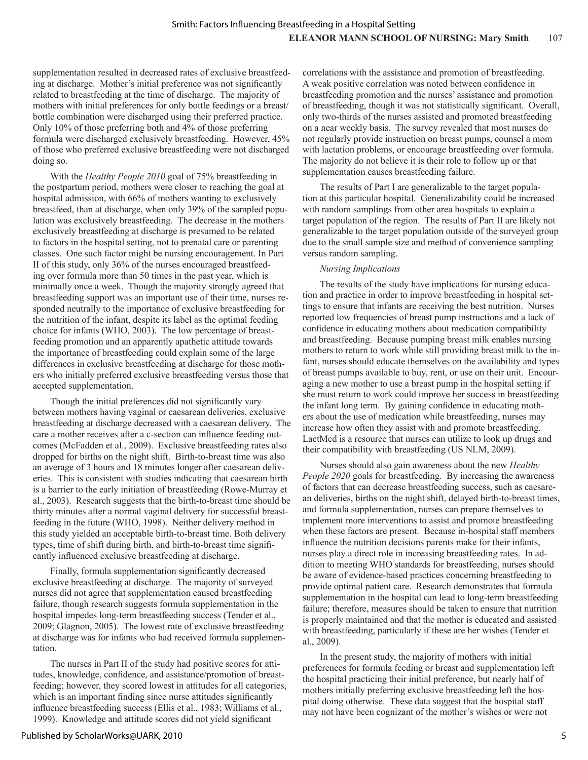supplementation resulted in decreased rates of exclusive breastfeeding at discharge. Mother's initial preference was not significantly related to breastfeeding at the time of discharge. The majority of mothers with initial preferences for only bottle feedings or a breast/ bottle combination were discharged using their preferred practice. Only 10% of those preferring both and 4% of those preferring formula were discharged exclusively breastfeeding. However, 45% of those who preferred exclusive breastfeeding were not discharged doing so.

With the *Healthy People 2010* goal of 75% breastfeeding in the postpartum period, mothers were closer to reaching the goal at hospital admission, with 66% of mothers wanting to exclusively breastfeed, than at discharge, when only 39% of the sampled population was exclusively breastfeeding. The decrease in the mothers exclusively breastfeeding at discharge is presumed to be related to factors in the hospital setting, not to prenatal care or parenting classes. One such factor might be nursing encouragement. In Part II of this study, only 36% of the nurses encouraged breastfeeding over formula more than 50 times in the past year, which is minimally once a week. Though the majority strongly agreed that breastfeeding support was an important use of their time, nurses responded neutrally to the importance of exclusive breastfeeding for the nutrition of the infant, despite its label as the optimal feeding choice for infants (WHO, 2003). The low percentage of breastfeeding promotion and an apparently apathetic attitude towards the importance of breastfeeding could explain some of the large differences in exclusive breastfeeding at discharge for those mothers who initially preferred exclusive breastfeeding versus those that accepted supplementation.

Though the initial preferences did not significantly vary between mothers having vaginal or caesarean deliveries, exclusive breastfeeding at discharge decreased with a caesarean delivery. The care a mother receives after a c-section can influence feeding outcomes (McFadden et al., 2009). Exclusive breastfeeding rates also dropped for births on the night shift. Birth-to-breast time was also an average of 3 hours and 18 minutes longer after caesarean deliveries. This is consistent with studies indicating that caesarean birth is a barrier to the early initiation of breastfeeding (Rowe-Murray et al., 2003). Research suggests that the birth-to-breast time should be thirty minutes after a normal vaginal delivery for successful breastfeeding in the future (WHO, 1998). Neither delivery method in this study yielded an acceptable birth-to-breast time. Both delivery types, time of shift during birth, and birth-to-breast time significantly influenced exclusive breastfeeding at discharge.

Finally, formula supplementation significantly decreased exclusive breastfeeding at discharge. The majority of surveyed nurses did not agree that supplementation caused breastfeeding failure, though research suggests formula supplementation in the hospital impedes long-term breastfeeding success (Tender et al., 2009; Glagnon, 2005). The lowest rate of exclusive breastfeeding at discharge was for infants who had received formula supplementation.

The nurses in Part II of the study had positive scores for attitudes, knowledge, confidence, and assistance/promotion of breastfeeding; however, they scored lowest in attitudes for all categories, which is an important finding since nurse attitudes significantly influence breastfeeding success (Ellis et al., 1983; Williams et al., 1999). Knowledge and attitude scores did not yield significant

correlations with the assistance and promotion of breastfeeding. A weak positive correlation was noted between confidence in breastfeeding promotion and the nurses' assistance and promotion of breastfeeding, though it was not statistically significant. Overall, only two-thirds of the nurses assisted and promoted breastfeeding on a near weekly basis. The survey revealed that most nurses do not regularly provide instruction on breast pumps, counsel a mom with lactation problems, or encourage breastfeeding over formula. The majority do not believe it is their role to follow up or that supplementation causes breastfeeding failure.

The results of Part I are generalizable to the target population at this particular hospital. Generalizability could be increased with random samplings from other area hospitals to explain a target population of the region. The results of Part II are likely not generalizable to the target population outside of the surveyed group due to the small sample size and method of convenience sampling versus random sampling.

## *Nursing Implications*

The results of the study have implications for nursing education and practice in order to improve breastfeeding in hospital settings to ensure that infants are receiving the best nutrition. Nurses reported low frequencies of breast pump instructions and a lack of confidence in educating mothers about medication compatibility and breastfeeding. Because pumping breast milk enables nursing mothers to return to work while still providing breast milk to the infant, nurses should educate themselves on the availability and types of breast pumps available to buy, rent, or use on their unit. Encouraging a new mother to use a breast pump in the hospital setting if she must return to work could improve her success in breastfeeding the infant long term. By gaining confidence in educating mothers about the use of medication while breastfeeding, nurses may increase how often they assist with and promote breastfeeding. LactMed is a resource that nurses can utilize to look up drugs and their compatibility with breastfeeding (US NLM, 2009).

Nurses should also gain awareness about the new *Healthy People 2020* goals for breastfeeding. By increasing the awareness of factors that can decrease breastfeeding success, such as caesarean deliveries, births on the night shift, delayed birth-to-breast times, and formula supplementation, nurses can prepare themselves to implement more interventions to assist and promote breastfeeding when these factors are present. Because in-hospital staff members influence the nutrition decisions parents make for their infants, nurses play a direct role in increasing breastfeeding rates. In addition to meeting WHO standards for breastfeeding, nurses should be aware of evidence-based practices concerning breastfeeding to provide optimal patient care. Research demonstrates that formula supplementation in the hospital can lead to long-term breastfeeding failure; therefore, measures should be taken to ensure that nutrition is properly maintained and that the mother is educated and assisted with breastfeeding, particularly if these are her wishes (Tender et al., 2009).

In the present study, the majority of mothers with initial preferences for formula feeding or breast and supplementation left the hospital practicing their initial preference, but nearly half of mothers initially preferring exclusive breastfeeding left the hospital doing otherwise. These data suggest that the hospital staff may not have been cognizant of the mother's wishes or were not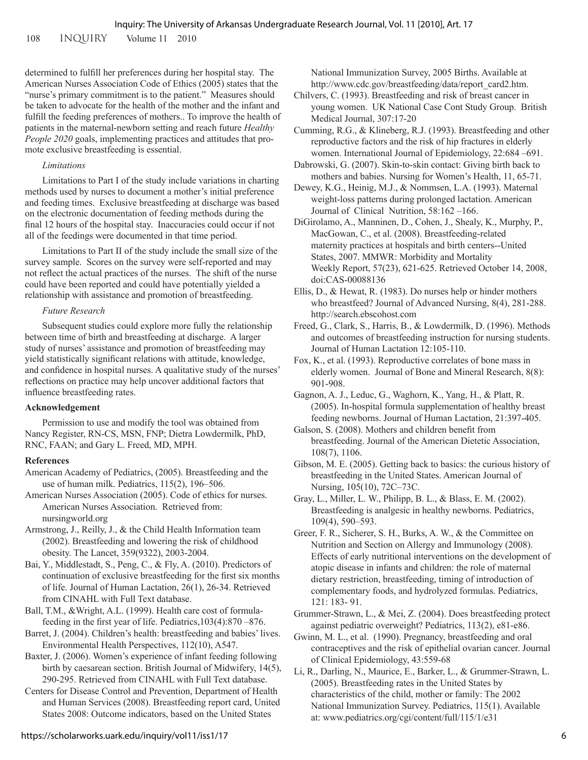108 INQUIRY Volume 11 2010

determined to fulfill her preferences during her hospital stay. The American Nurses Association Code of Ethics (2005) states that the "nurse's primary commitment is to the patient." Measures should be taken to advocate for the health of the mother and the infant and fulfill the feeding preferences of mothers.. To improve the health of patients in the maternal-newborn setting and reach future *Healthy People 2020* goals, implementing practices and attitudes that promote exclusive breastfeeding is essential.

## *Limitations*

Limitations to Part I of the study include variations in charting methods used by nurses to document a mother's initial preference and feeding times. Exclusive breastfeeding at discharge was based on the electronic documentation of feeding methods during the final 12 hours of the hospital stay. Inaccuracies could occur if not all of the feedings were documented in that time period.

Limitations to Part II of the study include the small size of the survey sample. Scores on the survey were self-reported and may not reflect the actual practices of the nurses. The shift of the nurse could have been reported and could have potentially yielded a relationship with assistance and promotion of breastfeeding.

## *Future Research*

Subsequent studies could explore more fully the relationship between time of birth and breastfeeding at discharge. A larger study of nurses' assistance and promotion of breastfeeding may yield statistically significant relations with attitude, knowledge, and confidence in hospital nurses. A qualitative study of the nurses' reflections on practice may help uncover additional factors that influence breastfeeding rates.

## **Acknowledgement**

Permission to use and modify the tool was obtained from Nancy Register, RN-CS, MSN, FNP; Dietra Lowdermilk, PhD, RNC, FAAN; and Gary L. Freed, MD, MPH.

## **References**

- American Academy of Pediatrics, (2005). Breastfeeding and the use of human milk. Pediatrics, 115(2), 196–506.
- American Nurses Association (2005). Code of ethics for nurses. American Nurses Association. Retrieved from: nursingworld.org

Armstrong, J., Reilly, J., & the Child Health Information team (2002). Breastfeeding and lowering the risk of childhood obesity. The Lancet, 359(9322), 2003-2004.

Bai, Y., Middlestadt, S., Peng, C., & Fly, A. (2010). Predictors of continuation of exclusive breastfeeding for the first six months of life. Journal of Human Lactation, 26(1), 26-34. Retrieved from CINAHL with Full Text database.

Ball, T.M., &Wright, A.L. (1999). Health care cost of formulafeeding in the first year of life. Pediatrics,103(4):870 –876.

Barret, J. (2004). Children's health: breastfeeding and babies' lives. Environmental Health Perspectives, 112(10), A547.

Baxter, J. (2006). Women's experience of infant feeding following birth by caesarean section. British Journal of Midwifery, 14(5), 290-295. Retrieved from CINAHL with Full Text database.

Centers for Disease Control and Prevention, Department of Health and Human Services (2008). Breastfeeding report card, United States 2008: Outcome indicators, based on the United States

National Immunization Survey, 2005 Births. Available at http://www.cdc.gov/breastfeeding/data/report\_card2.htm.

Chilvers, C. (1993). Breastfeeding and risk of breast cancer in young women. UK National Case Cont Study Group. British Medical Journal, 307:17-20

Cumming, R.G., & Klineberg, R.J. (1993). Breastfeeding and other reproductive factors and the risk of hip fractures in elderly women. International Journal of Epidemiology, 22:684 –691.

Dabrowski, G. (2007). Skin-to-skin contact: Giving birth back to mothers and babies. Nursing for Women's Health, 11, 65-71.

Dewey, K.G., Heinig, M.J., & Nommsen, L.A. (1993). Maternal weight-loss patterns during prolonged lactation. American Journal of Clinical Nutrition, 58:162 –166.

DiGirolamo, A., Manninen, D., Cohen, J., Shealy, K., Murphy, P., MacGowan, C., et al. (2008). Breastfeeding-related maternity practices at hospitals and birth centers--United States, 2007. MMWR: Morbidity and Mortality Weekly Report, 57(23), 621-625. Retrieved October 14, 2008, doi:CAS-00088136

Ellis, D., & Hewat, R. (1983). Do nurses help or hinder mothers who breastfeed? Journal of Advanced Nursing, 8(4), 281-288. http://search.ebscohost.com

Freed, G., Clark, S., Harris, B., & Lowdermilk, D. (1996). Methods and outcomes of breastfeeding instruction for nursing students. Journal of Human Lactation 12:105-110.

Fox, K., et al. (1993). Reproductive correlates of bone mass in elderly women. Journal of Bone and Mineral Research, 8(8): 901-908.

Gagnon, A. J., Leduc, G., Waghorn, K., Yang, H., & Platt, R. (2005). In-hospital formula supplementation of healthy breast feeding newborns. Journal of Human Lactation, 21:397-405.

Galson, S. (2008). Mothers and children benefit from breastfeeding. Journal of the American Dietetic Association, 108(7), 1106.

Gibson, M. E. (2005). Getting back to basics: the curious history of breastfeeding in the United States. American Journal of Nursing, 105(10), 72C–73C.

Gray, L., Miller, L. W., Philipp, B. L., & Blass, E. M. (2002). Breastfeeding is analgesic in healthy newborns. Pediatrics, 109(4), 590–593.

Greer, F. R., Sicherer, S. H., Burks, A. W., & the Committee on Nutrition and Section on Allergy and Immunology (2008). Effects of early nutritional interventions on the development of atopic disease in infants and children: the role of maternal dietary restriction, breastfeeding, timing of introduction of complementary foods, and hydrolyzed formulas. Pediatrics, 121: 183- 91.

Grummer-Strawn, L., & Mei, Z. (2004). Does breastfeeding protect against pediatric overweight? Pediatrics, 113(2), e81-e86.

Gwinn, M. L., et al. (1990). Pregnancy, breastfeeding and oral contraceptives and the risk of epithelial ovarian cancer. Journal of Clinical Epidemiology, 43:559-68

Li, R., Darling, N., Maurice, E., Barker, L., & Grummer-Strawn, L. (2005). Breastfeeding rates in the United States by characteristics of the child, mother or family: The 2002 National Immunization Survey. Pediatrics, 115(1). Available at: www.pediatrics.org/cgi/content/full/115/1/e31